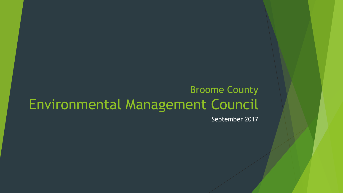## Broome County Environmental Management Council

September 2017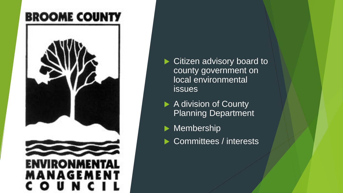## **BROOME COUNTY**



▶ Citizen advisory board to county government on local environmental issues

▶ A division of County Planning Department

Membership

▶ Committees / interests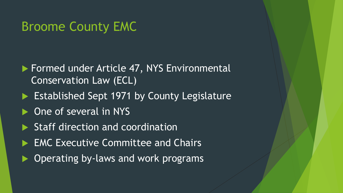## Broome County EMC

- **Formed under Article 47, NYS Environmental** Conservation Law (ECL)
- Established Sept 1971 by County Legislature
- ▶ One of several in NYS
- Staff direction and coordination
- ▶ EMC Executive Committee and Chairs
- Operating by-laws and work programs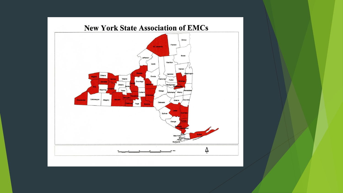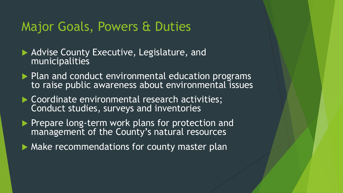#### Major Goals, Powers & Duties

- Advise County Executive, Legislature, and municipalities
- $\blacktriangleright$  Plan and conduct environmental education programs to raise public awareness about environmental issues
- ▶ Coordinate environmental research activities; Conduct studies, surveys and inventories
- Prepare long-term work plans for protection and management of the County's natural resources
- **Make recommendations for county master plan**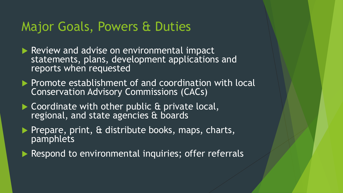#### Major Goals, Powers & Duties

- Review and advise on environmental impact statements, plans, development applications and reports when requested
- $\blacktriangleright$  Promote establishment of and coordination with local Conservation Advisory Commissions (CACs)
- ▶ Coordinate with other public & private local, regional, and state agencies & boards
- $\blacktriangleright$  Prepare, print,  $\alpha$  distribute books, maps, charts, pamphlets
- Respond to environmental inquiries; offer referrals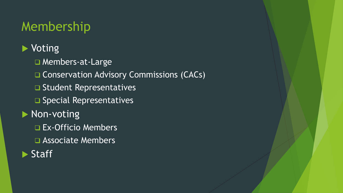## Membership

#### ▶ Voting

- □ Members-at-Large
- **□ Conservation Advisory Commissions (CACs)**
- **□ Student Representatives**
- $\square$  Special Representatives

#### **Non-voting**

- Ex-Officio Members
- Associate Members
- **Staff**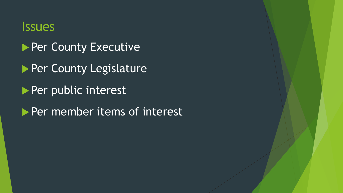#### Issues

- **Per County Executive**
- **Per County Legislature**
- Per public interest
- Per member items of interest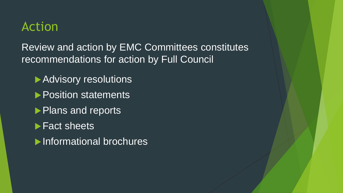## Action

Review and action by EMC Committees constitutes recommendations for action by Full Council

- ▶ Advisory resolutions
- **Position statements**
- Plans and reports
- **Fact sheets**
- **Informational brochures**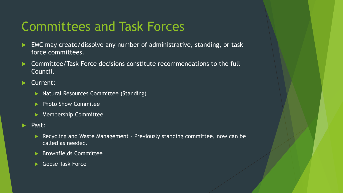## Committees and Task Forces

- EMC may create/dissolve any number of administrative, standing, or task force committees.
- ▶ Committee/Task Force decisions constitute recommendations to the full Council.
- Current:
	- **Natural Resources Committee (Standing)**
	- **Photo Show Commitee**
	- **Membership Committee**
- Past:
	- Recycling and Waste Management Previously standing committee, now can be called as needed.
	- **Brownfields Committee**
	- Goose Task Force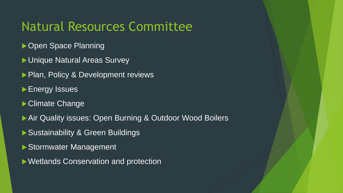## Natural Resources Committee

- ▶ Open Space Planning
- ▶ Unique Natural Areas Survey
- Plan, Policy & Development reviews
- **Energy Issues**
- ▶ Climate Change
- ▶ Air Quality issues: Open Burning & Outdoor Wood Boilers
- ▶ Sustainability & Green Buildings
- Stormwater Management
- Wetlands Conservation and protection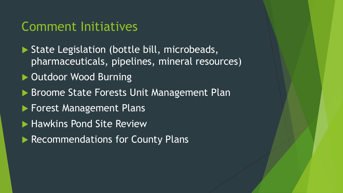#### Comment Initiatives

- State Legislation (bottle bill, microbeads, pharmaceuticals, pipelines, mineral resources)
- ▶ Outdoor Wood Burning
- ▶ Broome State Forests Unit Management Plan
- **Forest Management Plans**
- **Hawkins Pond Site Review**
- **Recommendations for County Plans**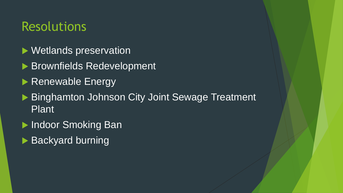## Resolutions

- ▶ Wetlands preservation
- ▶ Brownfields Redevelopment
- Renewable Energy
- ▶ Binghamton Johnson City Joint Sewage Treatment Plant
- ▶ Indoor Smoking Ban
- ▶ Backyard burning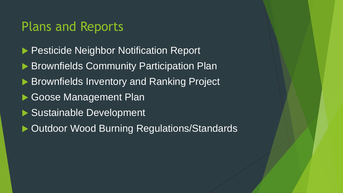#### Plans and Reports

- **Pesticide Neighbor Notification Report**
- Brownfields Community Participation Plan
- Brownfields Inventory and Ranking Project
- Goose Management Plan
- ▶ Sustainable Development
- ▶ Outdoor Wood Burning Regulations/Standards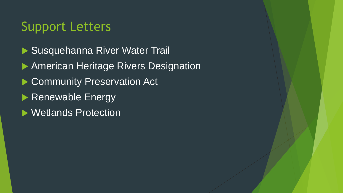## Support Letters

▶ Susquehanna River Water Trail **American Heritage Rivers Designation** Community Preservation Act Renewable Energy ▶ Wetlands Protection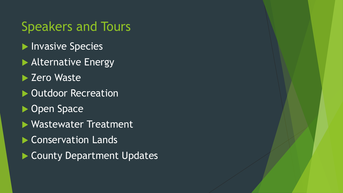## Speakers and Tours

- **Invasive Species**
- **Alternative Energy**
- ▶ Zero Waste
- ▶ Outdoor Recreation
- ▶ Open Space
- Wastewater Treatment
- ▶ Conservation Lands
- County Department Updates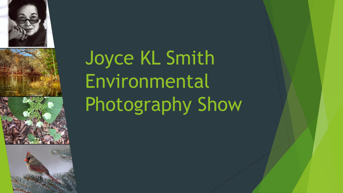





## Joyce KL Smith Environmental Photography Show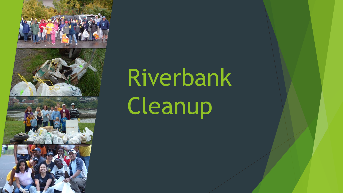

# Riverbank Cleanup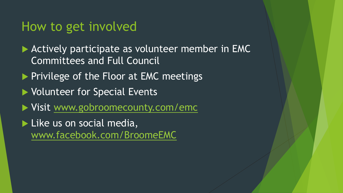#### How to get involved

- Actively participate as volunteer member in EMC Committees and Full Council
- Privilege of the Floor at EMC meetings
- ▶ Volunteer for Special Events
- ▶ Visit [www.gobroomecounty.com/emc](http://www.gobroomecounty.com/emc)
- Like us on social media, [www.facebook.com/BroomeEMC](http://www.facebook.com/BroomeEMC)